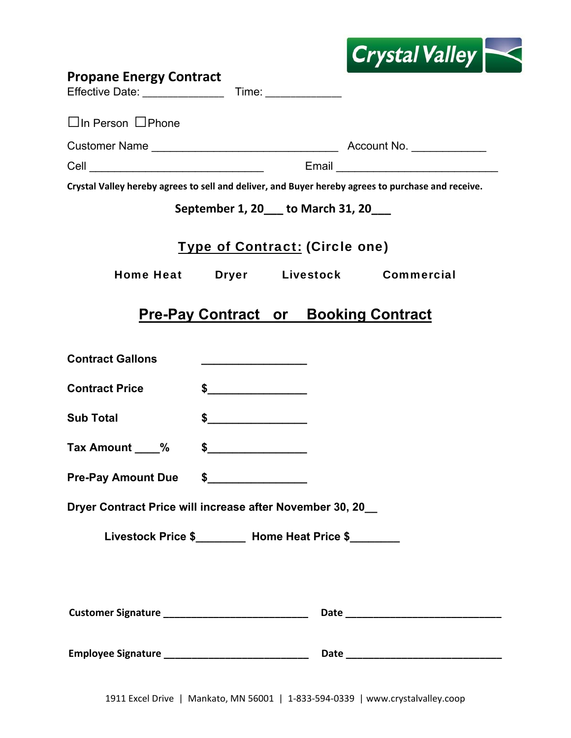|                                                           |                                 | <b>Crystal Valley</b>                                                                              |
|-----------------------------------------------------------|---------------------------------|----------------------------------------------------------------------------------------------------|
| <b>Propane Energy Contract</b>                            |                                 |                                                                                                    |
| $\Box$ In Person $\Box$ Phone                             |                                 |                                                                                                    |
|                                                           |                                 |                                                                                                    |
|                                                           |                                 |                                                                                                    |
|                                                           |                                 | Crystal Valley hereby agrees to sell and deliver, and Buyer hereby agrees to purchase and receive. |
|                                                           | September 1, 20 to March 31, 20 |                                                                                                    |
|                                                           | Type of Contract: (Circle one)  |                                                                                                    |
|                                                           |                                 | Home Heat Dryer Livestock Commercial                                                               |
|                                                           |                                 | <b>Pre-Pay Contract or Booking Contract</b>                                                        |
| <b>Contract Gallons</b>                                   |                                 |                                                                                                    |
| <b>Contract Price</b>                                     | $\frac{1}{2}$                   |                                                                                                    |
| <b>Sub Total</b>                                          | $\frac{1}{2}$                   |                                                                                                    |
| Tax Amount ____%                                          |                                 |                                                                                                    |
| Pre-Pay Amount Due \$                                     |                                 |                                                                                                    |
| Dryer Contract Price will increase after November 30, 20_ |                                 |                                                                                                    |
| Livestock Price \$________ Home Heat Price \$_______      |                                 |                                                                                                    |
|                                                           |                                 |                                                                                                    |
| Customer Signature __________________________________     |                                 |                                                                                                    |
|                                                           |                                 |                                                                                                    |

г